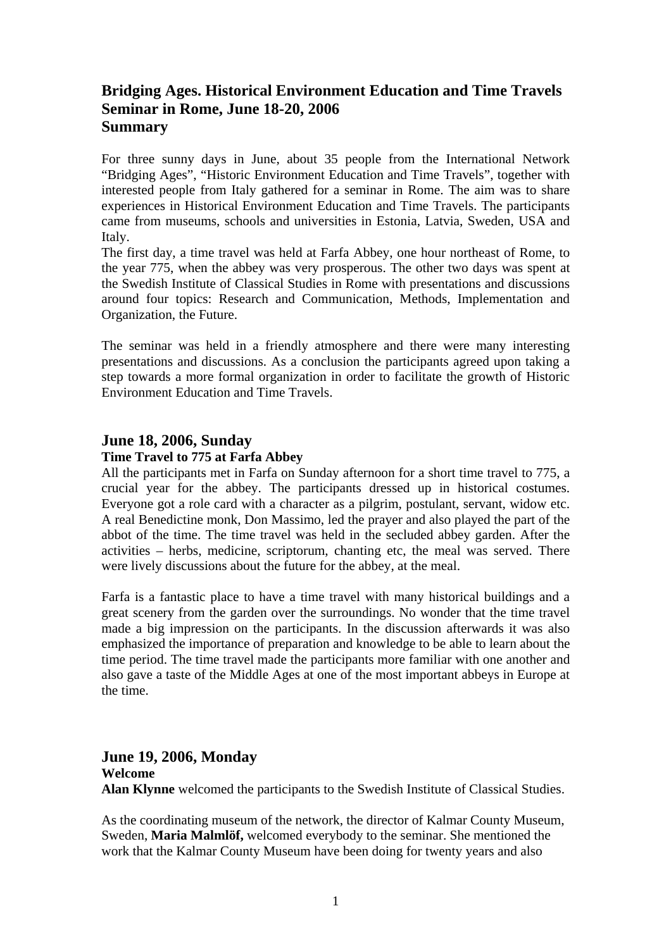# **Bridging Ages. Historical Environment Education and Time Travels Seminar in Rome, June 18-20, 2006 Summary**

For three sunny days in June, about 35 people from the International Network "Bridging Ages", "Historic Environment Education and Time Travels", together with interested people from Italy gathered for a seminar in Rome. The aim was to share experiences in Historical Environment Education and Time Travels. The participants came from museums, schools and universities in Estonia, Latvia, Sweden, USA and Italy.

The first day, a time travel was held at Farfa Abbey, one hour northeast of Rome, to the year 775, when the abbey was very prosperous. The other two days was spent at the Swedish Institute of Classical Studies in Rome with presentations and discussions around four topics: Research and Communication, Methods, Implementation and Organization, the Future.

The seminar was held in a friendly atmosphere and there were many interesting presentations and discussions. As a conclusion the participants agreed upon taking a step towards a more formal organization in order to facilitate the growth of Historic Environment Education and Time Travels.

### **June 18, 2006, Sunday**

### **Time Travel to 775 at Farfa Abbey**

All the participants met in Farfa on Sunday afternoon for a short time travel to 775, a crucial year for the abbey. The participants dressed up in historical costumes. Everyone got a role card with a character as a pilgrim, postulant, servant, widow etc. A real Benedictine monk, Don Massimo, led the prayer and also played the part of the abbot of the time. The time travel was held in the secluded abbey garden. After the activities – herbs, medicine, scriptorum, chanting etc, the meal was served. There were lively discussions about the future for the abbey, at the meal.

Farfa is a fantastic place to have a time travel with many historical buildings and a great scenery from the garden over the surroundings. No wonder that the time travel made a big impression on the participants. In the discussion afterwards it was also emphasized the importance of preparation and knowledge to be able to learn about the time period. The time travel made the participants more familiar with one another and also gave a taste of the Middle Ages at one of the most important abbeys in Europe at the time.

## **June 19, 2006, Monday**

**Welcome Alan Klynne** welcomed the participants to the Swedish Institute of Classical Studies.

As the coordinating museum of the network, the director of Kalmar County Museum, Sweden, **Maria Malmlöf,** welcomed everybody to the seminar. She mentioned the work that the Kalmar County Museum have been doing for twenty years and also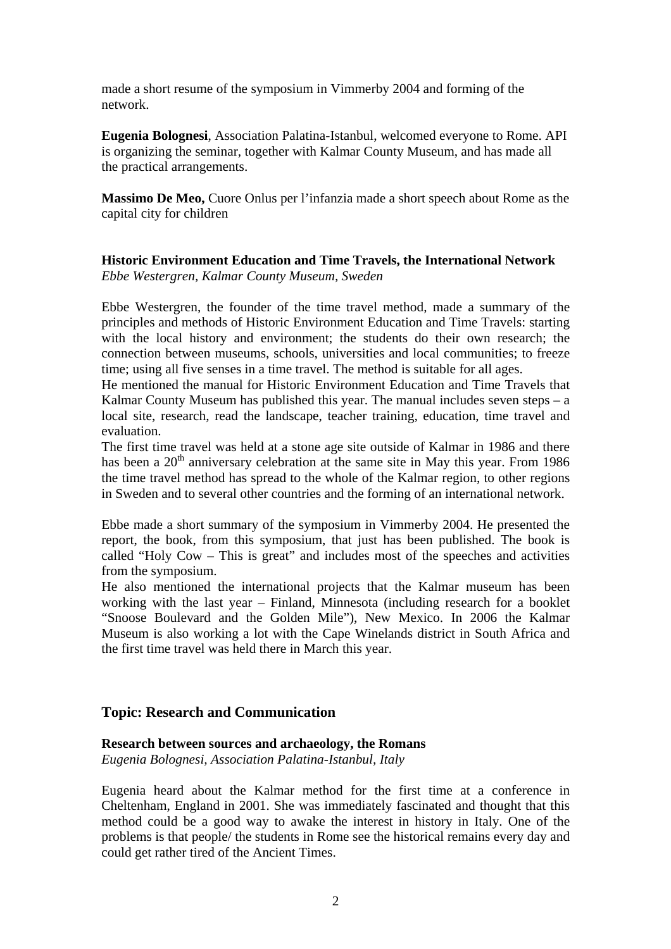made a short resume of the symposium in Vimmerby 2004 and forming of the network.

**Eugenia Bolognesi**, Association Palatina-Istanbul, welcomed everyone to Rome. API is organizing the seminar, together with Kalmar County Museum, and has made all the practical arrangements.

**Massimo De Meo,** Cuore Onlus per l'infanzia made a short speech about Rome as the capital city for children

#### **Historic Environment Education and Time Travels, the International Network**  *Ebbe Westergren, Kalmar County Museum, Sweden*

Ebbe Westergren, the founder of the time travel method, made a summary of the principles and methods of Historic Environment Education and Time Travels: starting with the local history and environment; the students do their own research; the connection between museums, schools, universities and local communities; to freeze time; using all five senses in a time travel. The method is suitable for all ages.

He mentioned the manual for Historic Environment Education and Time Travels that Kalmar County Museum has published this year. The manual includes seven steps  $- a$ local site, research, read the landscape, teacher training, education, time travel and evaluation.

The first time travel was held at a stone age site outside of Kalmar in 1986 and there has been a  $20<sup>th</sup>$  anniversary celebration at the same site in May this year. From 1986 the time travel method has spread to the whole of the Kalmar region, to other regions in Sweden and to several other countries and the forming of an international network.

Ebbe made a short summary of the symposium in Vimmerby 2004. He presented the report, the book, from this symposium, that just has been published. The book is called "Holy Cow – This is great" and includes most of the speeches and activities from the symposium.

He also mentioned the international projects that the Kalmar museum has been working with the last year – Finland, Minnesota (including research for a booklet "Snoose Boulevard and the Golden Mile"), New Mexico. In 2006 the Kalmar Museum is also working a lot with the Cape Winelands district in South Africa and the first time travel was held there in March this year.

### **Topic: Research and Communication**

#### **Research between sources and archaeology, the Romans**

*Eugenia Bolognesi, Association Palatina-Istanbul, Italy* 

Eugenia heard about the Kalmar method for the first time at a conference in Cheltenham, England in 2001. She was immediately fascinated and thought that this method could be a good way to awake the interest in history in Italy. One of the problems is that people/ the students in Rome see the historical remains every day and could get rather tired of the Ancient Times.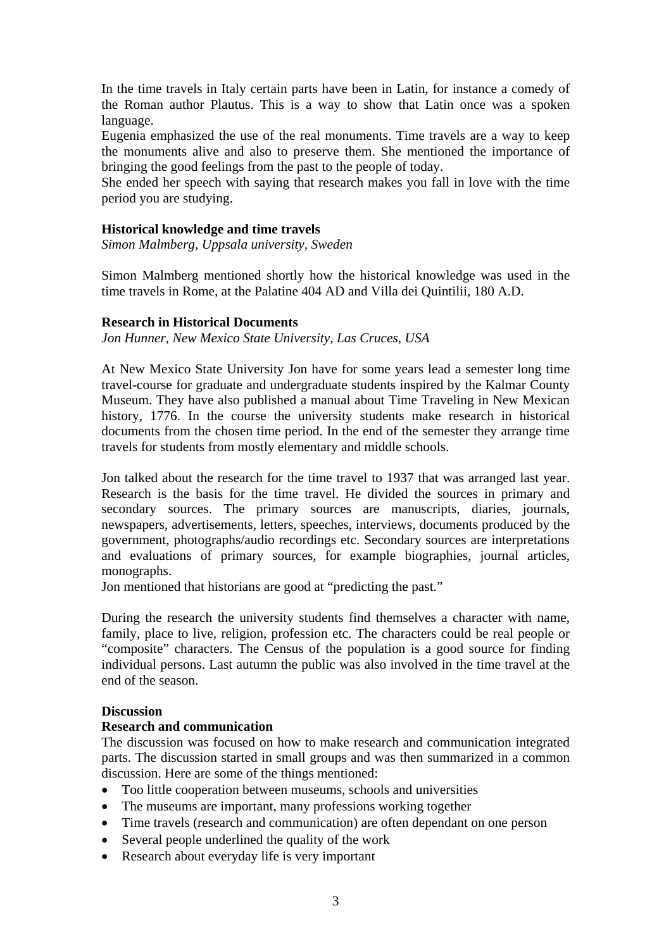In the time travels in Italy certain parts have been in Latin, for instance a comedy of the Roman author Plautus. This is a way to show that Latin once was a spoken language.

Eugenia emphasized the use of the real monuments. Time travels are a way to keep the monuments alive and also to preserve them. She mentioned the importance of bringing the good feelings from the past to the people of today.

She ended her speech with saying that research makes you fall in love with the time period you are studying.

#### **Historical knowledge and time travels**

*Simon Malmberg, Uppsala university, Sweden* 

Simon Malmberg mentioned shortly how the historical knowledge was used in the time travels in Rome, at the Palatine 404 AD and Villa dei Quintilii, 180 A.D.

#### **Research in Historical Documents**

*Jon Hunner, New Mexico State University, Las Cruces, USA* 

At New Mexico State University Jon have for some years lead a semester long time travel-course for graduate and undergraduate students inspired by the Kalmar County Museum. They have also published a manual about Time Traveling in New Mexican history, 1776. In the course the university students make research in historical documents from the chosen time period. In the end of the semester they arrange time travels for students from mostly elementary and middle schools.

Jon talked about the research for the time travel to 1937 that was arranged last year. Research is the basis for the time travel. He divided the sources in primary and secondary sources. The primary sources are manuscripts, diaries, journals, newspapers, advertisements, letters, speeches, interviews, documents produced by the government, photographs/audio recordings etc. Secondary sources are interpretations and evaluations of primary sources, for example biographies, journal articles, monographs.

Jon mentioned that historians are good at "predicting the past."

During the research the university students find themselves a character with name, family, place to live, religion, profession etc. The characters could be real people or "composite" characters. The Census of the population is a good source for finding individual persons. Last autumn the public was also involved in the time travel at the end of the season.

### **Discussion**

### **Research and communication**

The discussion was focused on how to make research and communication integrated parts. The discussion started in small groups and was then summarized in a common discussion. Here are some of the things mentioned:

- Too little cooperation between museums, schools and universities
- The museums are important, many professions working together
- Time travels (research and communication) are often dependant on one person
- Several people underlined the quality of the work
- Research about everyday life is very important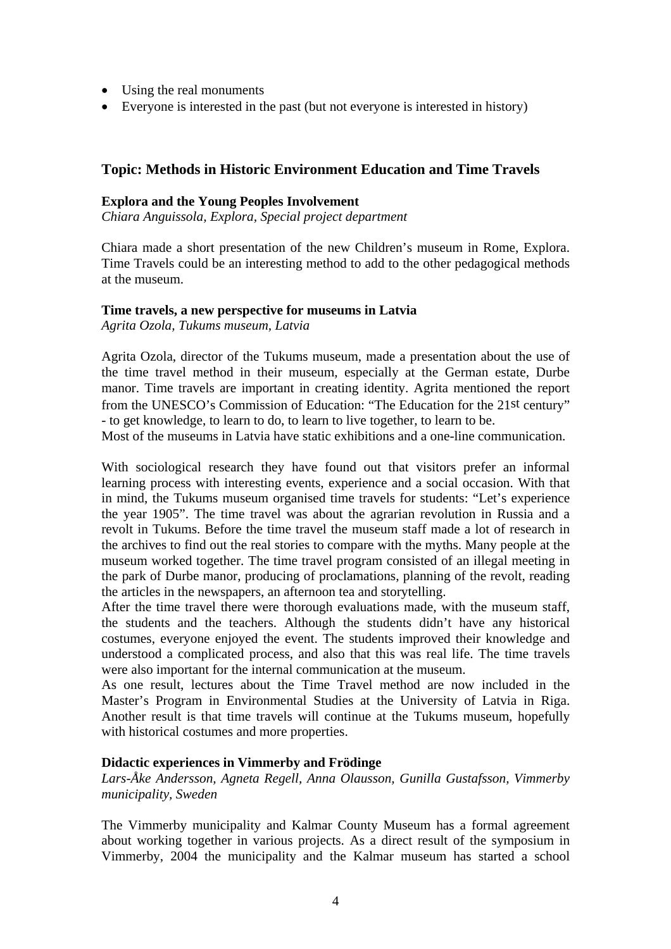- Using the real monuments
- Everyone is interested in the past (but not everyone is interested in history)

## **Topic: Methods in Historic Environment Education and Time Travels**

#### **Explora and the Young Peoples Involvement**

*Chiara Anguissola, Explora, Special project department* 

Chiara made a short presentation of the new Children's museum in Rome, Explora. Time Travels could be an interesting method to add to the other pedagogical methods at the museum.

#### **Time travels, a new perspective for museums in Latvia**

*Agrita Ozola, Tukums museum, Latvia* 

Agrita Ozola, director of the Tukums museum, made a presentation about the use of the time travel method in their museum, especially at the German estate, Durbe manor. Time travels are important in creating identity. Agrita mentioned the report from the UNESCO's Commission of Education: "The Education for the 21st century" - to get knowledge, to learn to do, to learn to live together, to learn to be.

Most of the museums in Latvia have static exhibitions and a one-line communication.

With sociological research they have found out that visitors prefer an informal learning process with interesting events, experience and a social occasion. With that in mind, the Tukums museum organised time travels for students: "Let's experience the year 1905". The time travel was about the agrarian revolution in Russia and a revolt in Tukums. Before the time travel the museum staff made a lot of research in the archives to find out the real stories to compare with the myths. Many people at the museum worked together. The time travel program consisted of an illegal meeting in the park of Durbe manor, producing of proclamations, planning of the revolt, reading the articles in the newspapers, an afternoon tea and storytelling.

After the time travel there were thorough evaluations made, with the museum staff, the students and the teachers. Although the students didn't have any historical costumes, everyone enjoyed the event. The students improved their knowledge and understood a complicated process, and also that this was real life. The time travels were also important for the internal communication at the museum.

As one result, lectures about the Time Travel method are now included in the Master's Program in Environmental Studies at the University of Latvia in Riga. Another result is that time travels will continue at the Tukums museum, hopefully with historical costumes and more properties.

### **Didactic experiences in Vimmerby and Frödinge**

*Lars-Åke Andersson, Agneta Regell, Anna Olausson, Gunilla Gustafsson, Vimmerby municipality, Sweden* 

The Vimmerby municipality and Kalmar County Museum has a formal agreement about working together in various projects. As a direct result of the symposium in Vimmerby, 2004 the municipality and the Kalmar museum has started a school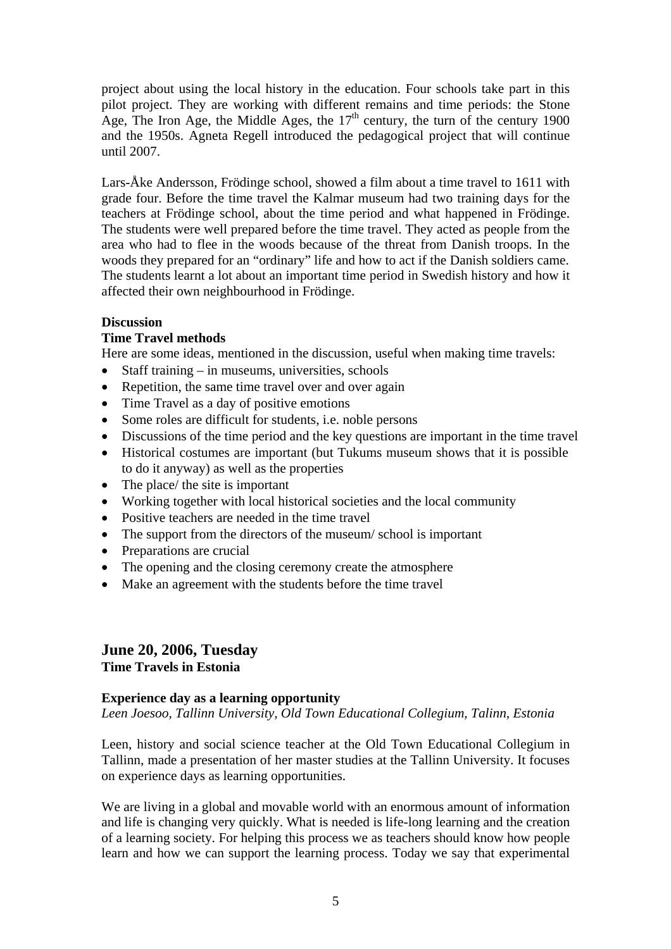project about using the local history in the education. Four schools take part in this pilot project. They are working with different remains and time periods: the Stone Age, The Iron Age, the Middle Ages, the  $17<sup>th</sup>$  century, the turn of the century 1900 and the 1950s. Agneta Regell introduced the pedagogical project that will continue until 2007.

Lars-Åke Andersson, Frödinge school, showed a film about a time travel to 1611 with grade four. Before the time travel the Kalmar museum had two training days for the teachers at Frödinge school, about the time period and what happened in Frödinge. The students were well prepared before the time travel. They acted as people from the area who had to flee in the woods because of the threat from Danish troops. In the woods they prepared for an "ordinary" life and how to act if the Danish soldiers came. The students learnt a lot about an important time period in Swedish history and how it affected their own neighbourhood in Frödinge.

### **Discussion**

### **Time Travel methods**

Here are some ideas, mentioned in the discussion, useful when making time travels:

- Staff training in museums, universities, schools
- Repetition, the same time travel over and over again
- Time Travel as a day of positive emotions
- Some roles are difficult for students, i.e. noble persons
- Discussions of the time period and the key questions are important in the time travel
- Historical costumes are important (but Tukums museum shows that it is possible to do it anyway) as well as the properties
- The place/ the site is important
- Working together with local historical societies and the local community
- Positive teachers are needed in the time travel
- The support from the directors of the museum/school is important
- Preparations are crucial
- The opening and the closing ceremony create the atmosphere
- Make an agreement with the students before the time travel

## **June 20, 2006, Tuesday Time Travels in Estonia**

### **Experience day as a learning opportunity**

*Leen Joesoo, Tallinn University, Old Town Educational Collegium, Talinn, Estonia* 

Leen, history and social science teacher at the Old Town Educational Collegium in Tallinn, made a presentation of her master studies at the Tallinn University. It focuses on experience days as learning opportunities.

We are living in a global and movable world with an enormous amount of information and life is changing very quickly. What is needed is life-long learning and the creation of a learning society. For helping this process we as teachers should know how people learn and how we can support the learning process. Today we say that experimental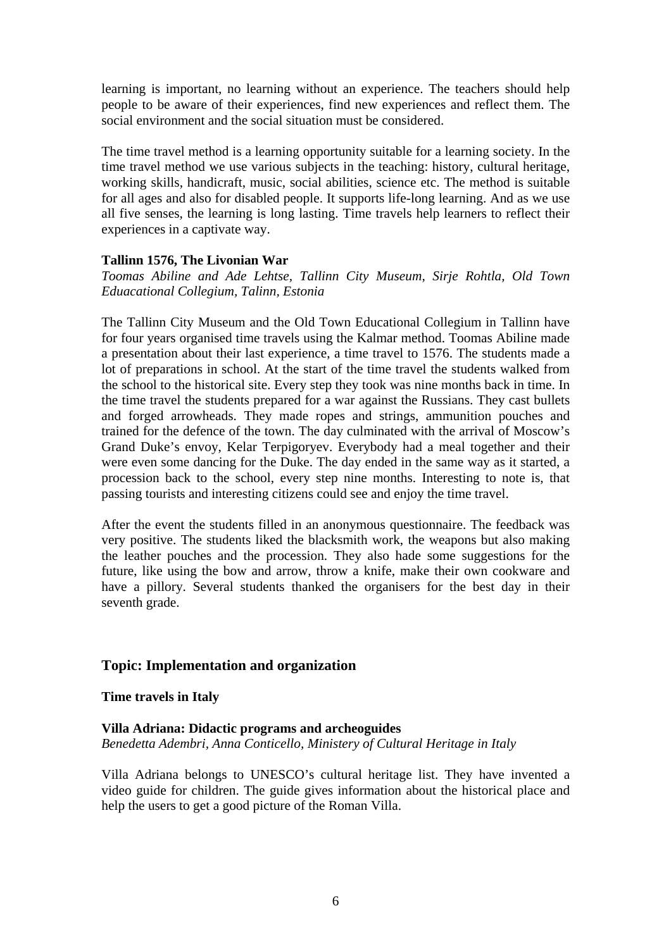learning is important, no learning without an experience. The teachers should help people to be aware of their experiences, find new experiences and reflect them. The social environment and the social situation must be considered.

The time travel method is a learning opportunity suitable for a learning society. In the time travel method we use various subjects in the teaching: history, cultural heritage, working skills, handicraft, music, social abilities, science etc. The method is suitable for all ages and also for disabled people. It supports life-long learning. And as we use all five senses, the learning is long lasting. Time travels help learners to reflect their experiences in a captivate way.

### **Tallinn 1576, The Livonian War**

*Toomas Abiline and Ade Lehtse, Tallinn City Museum, Sirje Rohtla, Old Town Eduacational Collegium, Talinn, Estonia* 

The Tallinn City Museum and the Old Town Educational Collegium in Tallinn have for four years organised time travels using the Kalmar method. Toomas Abiline made a presentation about their last experience, a time travel to 1576. The students made a lot of preparations in school. At the start of the time travel the students walked from the school to the historical site. Every step they took was nine months back in time. In the time travel the students prepared for a war against the Russians. They cast bullets and forged arrowheads. They made ropes and strings, ammunition pouches and trained for the defence of the town. The day culminated with the arrival of Moscow's Grand Duke's envoy, Kelar Terpigoryev. Everybody had a meal together and their were even some dancing for the Duke. The day ended in the same way as it started, a procession back to the school, every step nine months. Interesting to note is, that passing tourists and interesting citizens could see and enjoy the time travel.

After the event the students filled in an anonymous questionnaire. The feedback was very positive. The students liked the blacksmith work, the weapons but also making the leather pouches and the procession. They also hade some suggestions for the future, like using the bow and arrow, throw a knife, make their own cookware and have a pillory. Several students thanked the organisers for the best day in their seventh grade.

### **Topic: Implementation and organization**

### **Time travels in Italy**

### **Villa Adriana: Didactic programs and archeoguides**  *Benedetta Adembri, Anna Conticello, Ministery of Cultural Heritage in Italy*

Villa Adriana belongs to UNESCO's cultural heritage list. They have invented a video guide for children. The guide gives information about the historical place and help the users to get a good picture of the Roman Villa.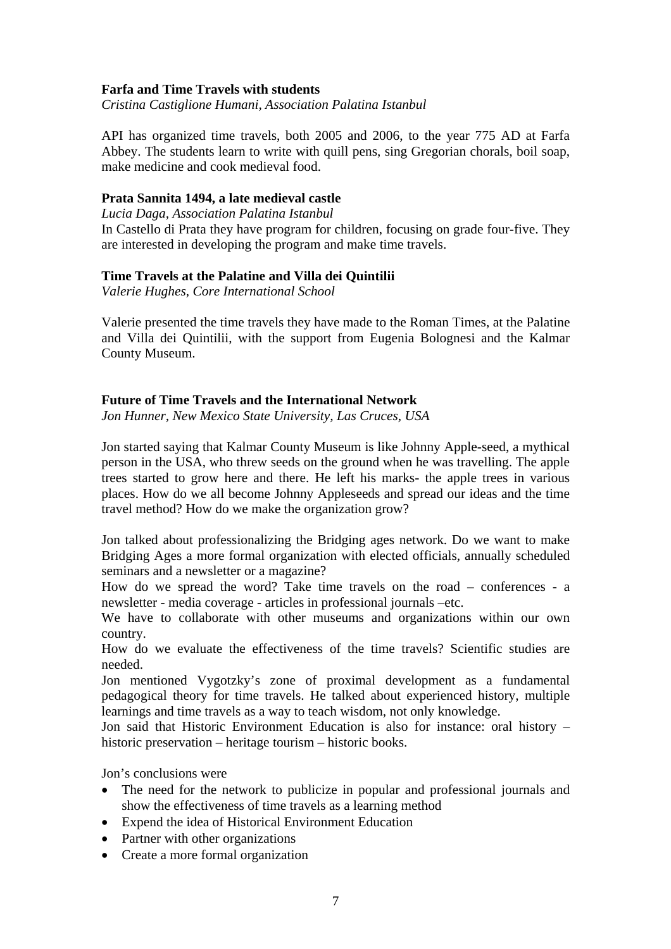### **Farfa and Time Travels with students**

*Cristina Castiglione Humani, Association Palatina Istanbul* 

API has organized time travels, both 2005 and 2006, to the year 775 AD at Farfa Abbey. The students learn to write with quill pens, sing Gregorian chorals, boil soap, make medicine and cook medieval food.

#### **Prata Sannita 1494, a late medieval castle**

*Lucia Daga, Association Palatina Istanbul* 

In Castello di Prata they have program for children, focusing on grade four-five. They are interested in developing the program and make time travels.

#### **Time Travels at the Palatine and Villa dei Quintilii**

*Valerie Hughes, Core International School* 

Valerie presented the time travels they have made to the Roman Times, at the Palatine and Villa dei Quintilii, with the support from Eugenia Bolognesi and the Kalmar County Museum.

### **Future of Time Travels and the International Network**

*Jon Hunner, New Mexico State University, Las Cruces, USA* 

Jon started saying that Kalmar County Museum is like Johnny Apple-seed, a mythical person in the USA, who threw seeds on the ground when he was travelling. The apple trees started to grow here and there. He left his marks- the apple trees in various places. How do we all become Johnny Appleseeds and spread our ideas and the time travel method? How do we make the organization grow?

Jon talked about professionalizing the Bridging ages network. Do we want to make Bridging Ages a more formal organization with elected officials, annually scheduled seminars and a newsletter or a magazine?

How do we spread the word? Take time travels on the road – conferences - a newsletter - media coverage - articles in professional journals –etc.

We have to collaborate with other museums and organizations within our own country.

How do we evaluate the effectiveness of the time travels? Scientific studies are needed.

Jon mentioned Vygotzky's zone of proximal development as a fundamental pedagogical theory for time travels. He talked about experienced history, multiple learnings and time travels as a way to teach wisdom, not only knowledge.

Jon said that Historic Environment Education is also for instance: oral history – historic preservation – heritage tourism – historic books.

Jon's conclusions were

- The need for the network to publicize in popular and professional journals and show the effectiveness of time travels as a learning method
- Expend the idea of Historical Environment Education
- Partner with other organizations
- Create a more formal organization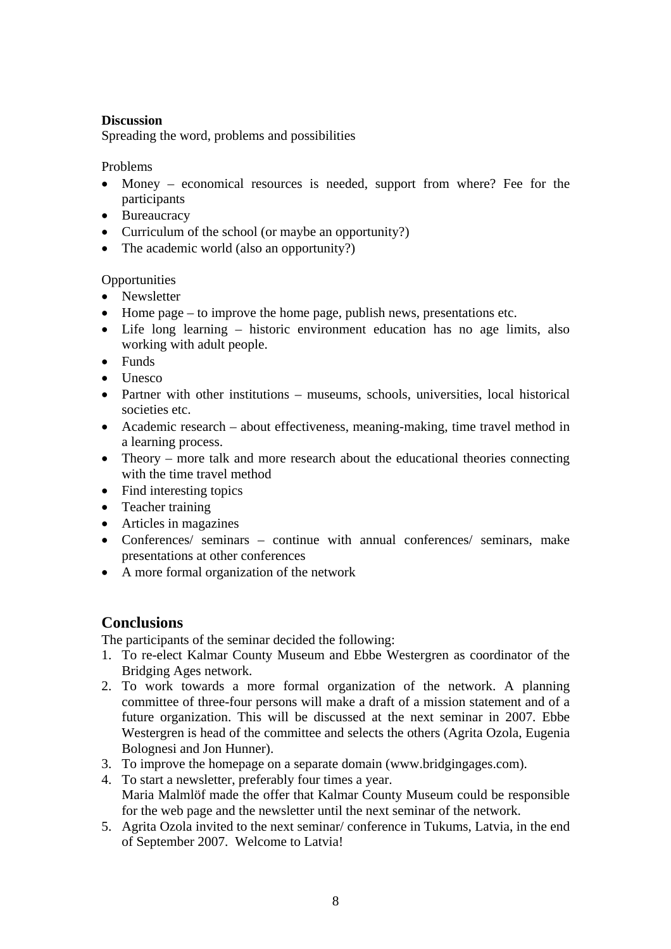### **Discussion**

Spreading the word, problems and possibilities

### Problems

- Money economical resources is needed, support from where? Fee for the participants
- Bureaucracy
- Curriculum of the school (or maybe an opportunity?)
- The academic world (also an opportunity?)

## **Opportunities**

- Newsletter
- Home page to improve the home page, publish news, presentations etc.
- Life long learning historic environment education has no age limits, also working with adult people.
- Funds
- Unesco
- Partner with other institutions museums, schools, universities, local historical societies etc.
- Academic research about effectiveness, meaning-making, time travel method in a learning process.
- Theory more talk and more research about the educational theories connecting with the time travel method
- Find interesting topics
- Teacher training
- Articles in magazines
- Conferences/ seminars continue with annual conferences/ seminars, make presentations at other conferences
- A more formal organization of the network

## **Conclusions**

The participants of the seminar decided the following:

- 1. To re-elect Kalmar County Museum and Ebbe Westergren as coordinator of the Bridging Ages network.
- 2. To work towards a more formal organization of the network. A planning committee of three-four persons will make a draft of a mission statement and of a future organization. This will be discussed at the next seminar in 2007. Ebbe Westergren is head of the committee and selects the others (Agrita Ozola, Eugenia Bolognesi and Jon Hunner).
- 3. To improve the homepage on a separate domain (www.bridgingages.com).
- 4. To start a newsletter, preferably four times a year. Maria Malmlöf made the offer that Kalmar County Museum could be responsible for the web page and the newsletter until the next seminar of the network.
- 5. Agrita Ozola invited to the next seminar/ conference in Tukums, Latvia, in the end of September 2007. Welcome to Latvia!